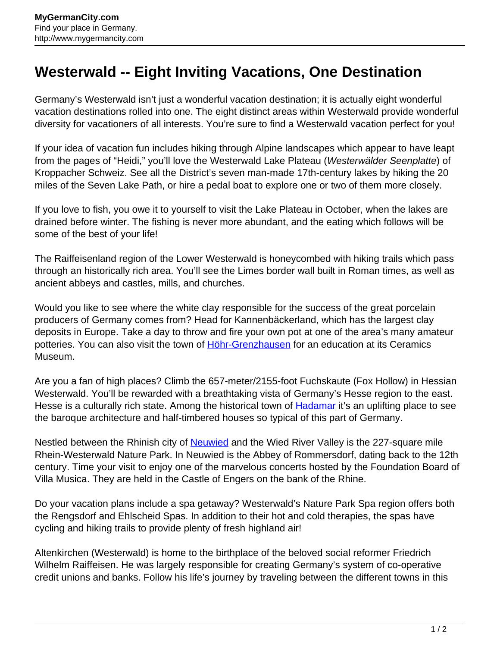## **Westerwald -- Eight Inviting Vacations, One Destination**

Germany's Westerwald isn't just a wonderful vacation destination; it is actually eight wonderful vacation destinations rolled into one. The eight distinct areas within Westerwald provide wonderful diversity for vacationers of all interests. You're sure to find a Westerwald vacation perfect for you!

If your idea of vacation fun includes hiking through Alpine landscapes which appear to have leapt from the pages of "Heidi," you'll love the Westerwald Lake Plateau (Westerwälder Seenplatte) of Kroppacher Schweiz. See all the District's seven man-made 17th-century lakes by hiking the 20 miles of the Seven Lake Path, or hire a pedal boat to explore one or two of them more closely.

If you love to fish, you owe it to yourself to visit the Lake Plateau in October, when the lakes are drained before winter. The fishing is never more abundant, and the eating which follows will be some of the best of your life!

The Raiffeisenland region of the Lower Westerwald is honeycombed with hiking trails which pass through an historically rich area. You'll see the Limes border wall built in Roman times, as well as ancient abbeys and castles, mills, and churches.

Would you like to see where the white clay responsible for the success of the great porcelain producers of Germany comes from? Head for Kannenbäckerland, which has the largest clay deposits in Europe. Take a day to throw and fire your own pot at one of the area's many amateur potteries. You can also visit the town of [Höhr-Grenzhausen](http://www.mygermancity.com/hoehr-grenzhausen) for an education at its Ceramics Museum.

Are you a fan of high places? Climb the 657-meter/2155-foot Fuchskaute (Fox Hollow) in Hessian Westerwald. You'll be rewarded with a breathtaking vista of Germany's Hesse region to the east. Hesse is a culturally rich state. Among the historical town of **[Hadamar](http://www.mygermancity.com/hadamar)** it's an uplifting place to see the baroque architecture and half-timbered houses so typical of this part of Germany.

Nestled between the Rhinish city of [Neuwied](http://www.mygermancity.com/neuwied) and the Wied River Valley is the 227-square mile Rhein-Westerwald Nature Park. In Neuwied is the Abbey of Rommersdorf, dating back to the 12th century. Time your visit to enjoy one of the marvelous concerts hosted by the Foundation Board of Villa Musica. They are held in the Castle of Engers on the bank of the Rhine.

Do your vacation plans include a spa getaway? Westerwald's Nature Park Spa region offers both the Rengsdorf and Ehlscheid Spas. In addition to their hot and cold therapies, the spas have cycling and hiking trails to provide plenty of fresh highland air!

Altenkirchen (Westerwald) is home to the birthplace of the beloved social reformer Friedrich Wilhelm Raiffeisen. He was largely responsible for creating Germany's system of co-operative credit unions and banks. Follow his life's journey by traveling between the different towns in this